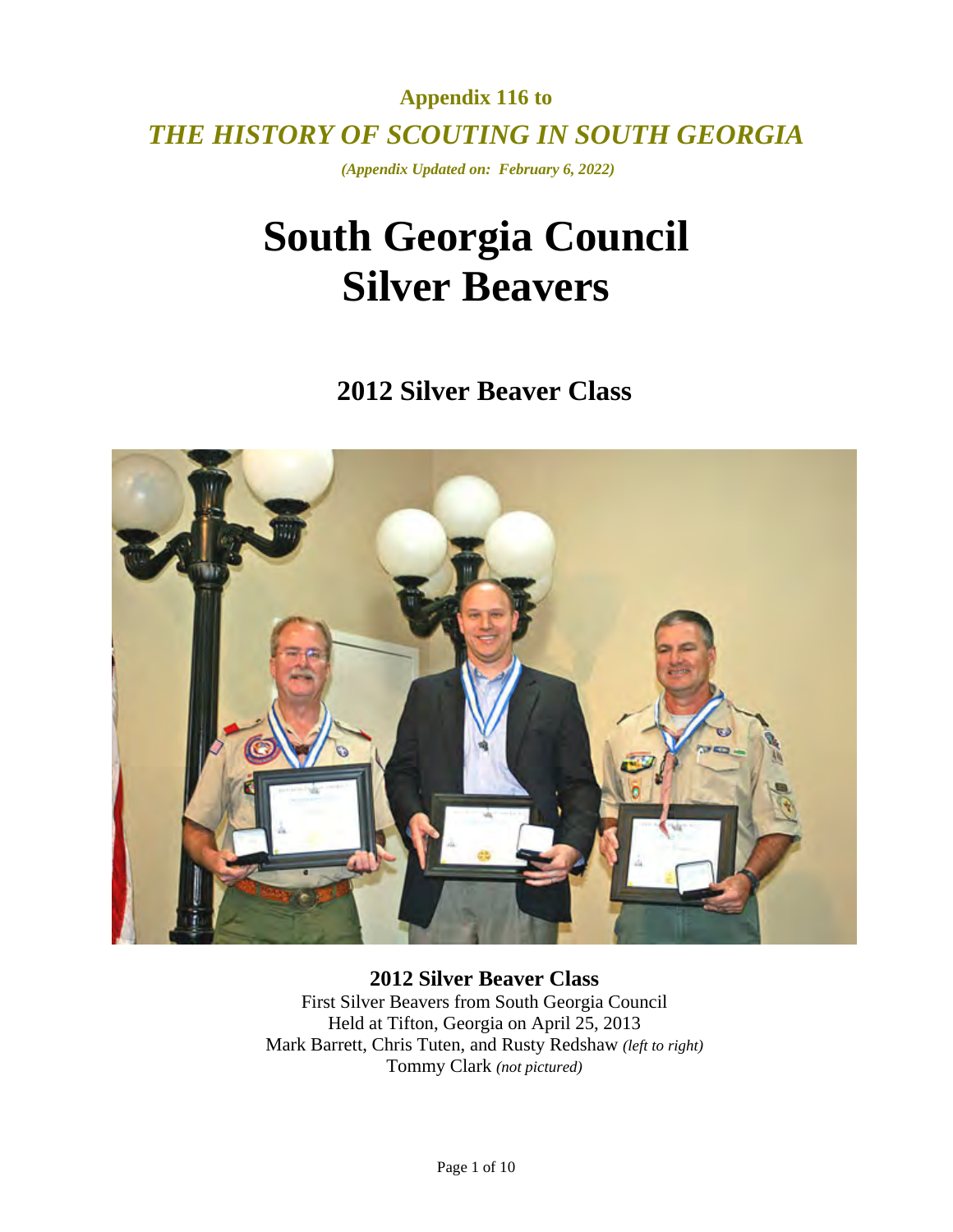**Appendix 116 to**  *THE HISTORY OF SCOUTING IN SOUTH GEORGIA* 

 *(Appendix Updated on: February 6, 2022)* 

# **South Georgia Council Silver Beavers**

**2012 Silver Beaver Class** 



**2012 Silver Beaver Class**  First Silver Beavers from South Georgia Council Held at Tifton, Georgia on April 25, 2013 Mark Barrett, Chris Tuten, and Rusty Redshaw *(left to right)*  Tommy Clark *(not pictured)*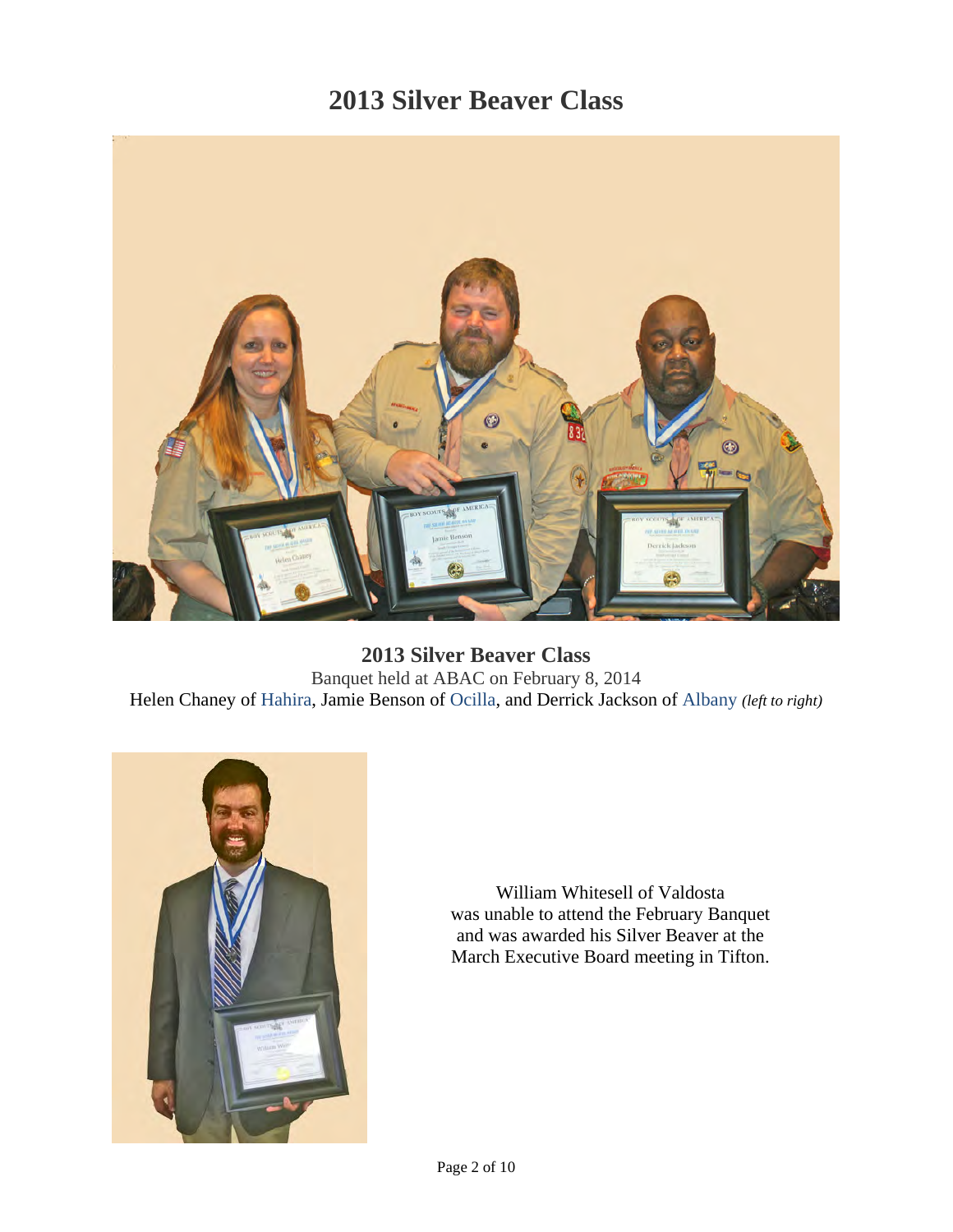

**2013 Silver Beaver Class**  Banquet held at ABAC on February 8, 2014 Helen Chaney of Hahira, Jamie Benson of Ocilla, and Derrick Jackson of Albany *(left to right)* 



William Whitesell of Valdosta was unable to attend the February Banquet and was awarded his Silver Beaver at the March Executive Board meeting in Tifton.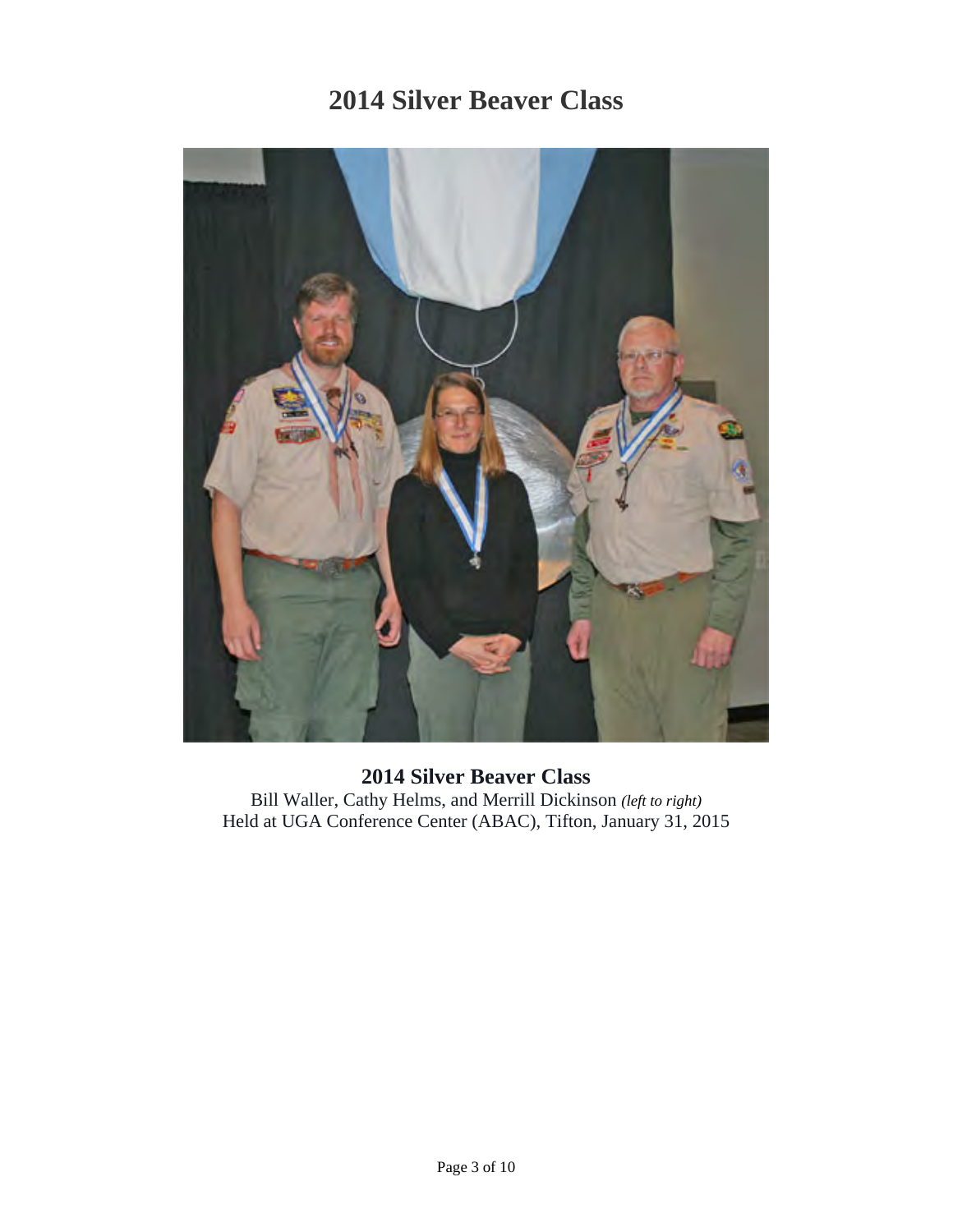

**2014 Silver Beaver Class**  Bill Waller, Cathy Helms, and Merrill Dickinson *(left to right)* Held at UGA Conference Center (ABAC), Tifton, January 31, 2015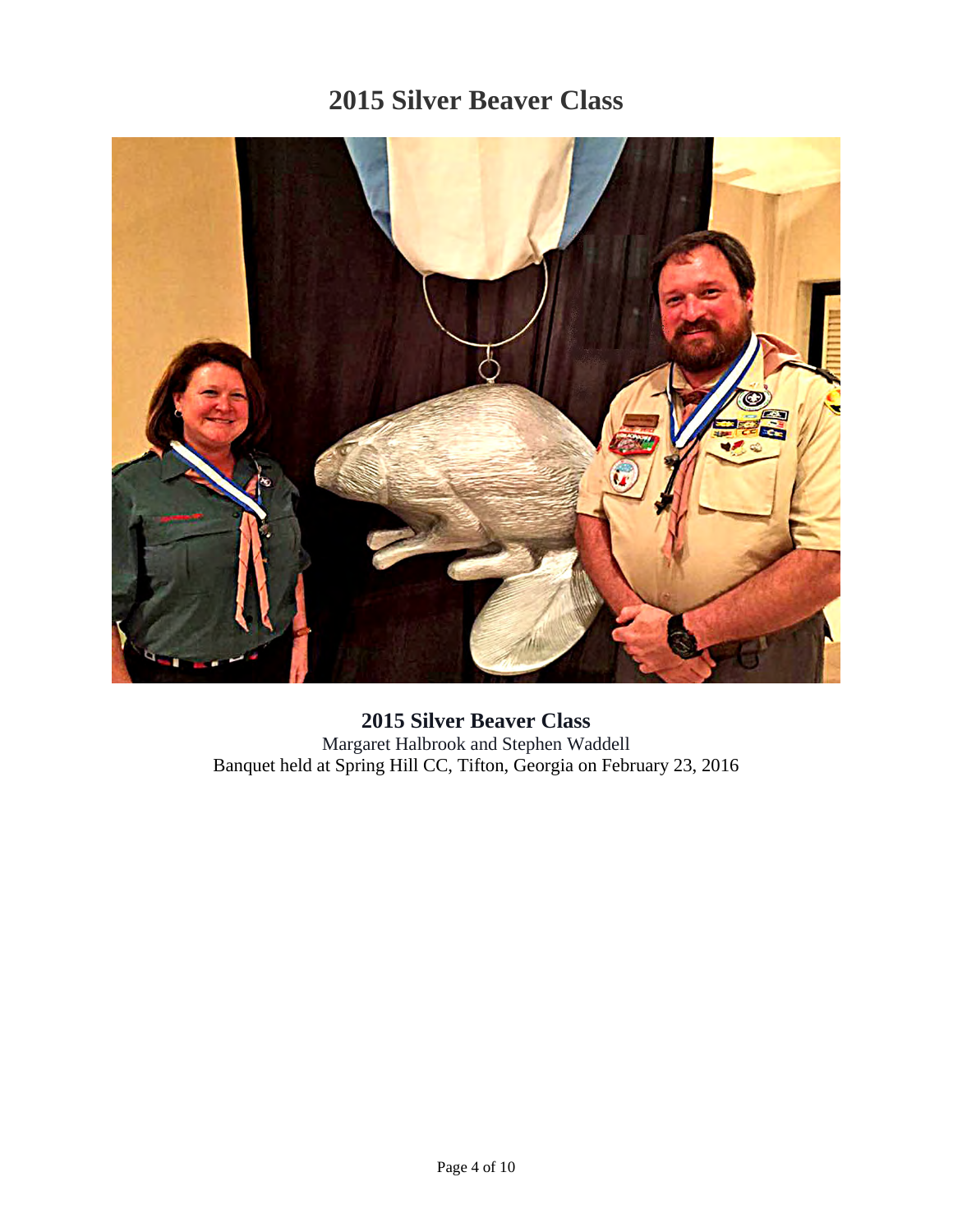

#### **2015 Silver Beaver Class**  Margaret Halbrook and Stephen Waddell Banquet held at Spring Hill CC, Tifton, Georgia on February 23, 2016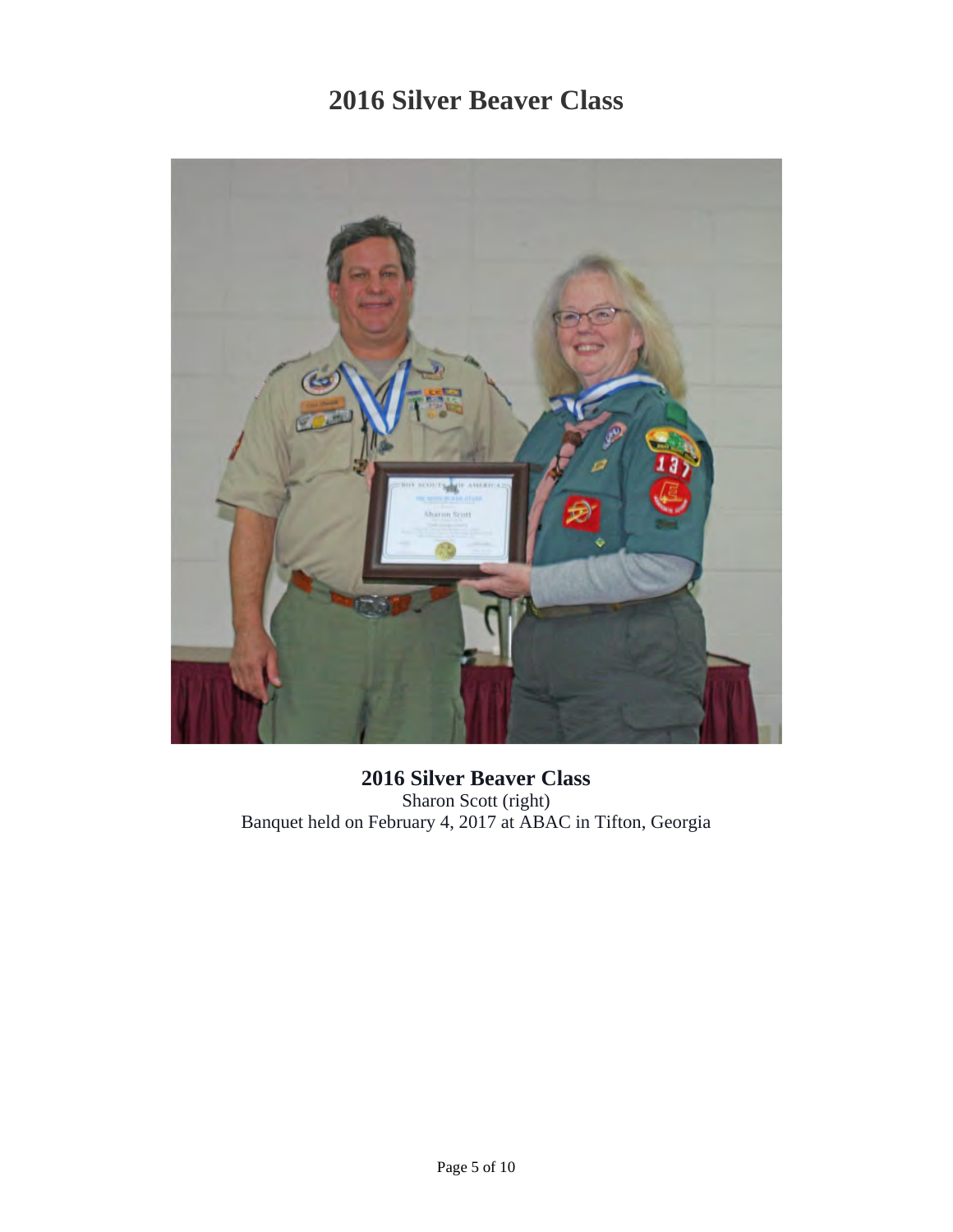

**2016 Silver Beaver Class**  Sharon Scott (right) Banquet held on February 4, 2017 at ABAC in Tifton, Georgia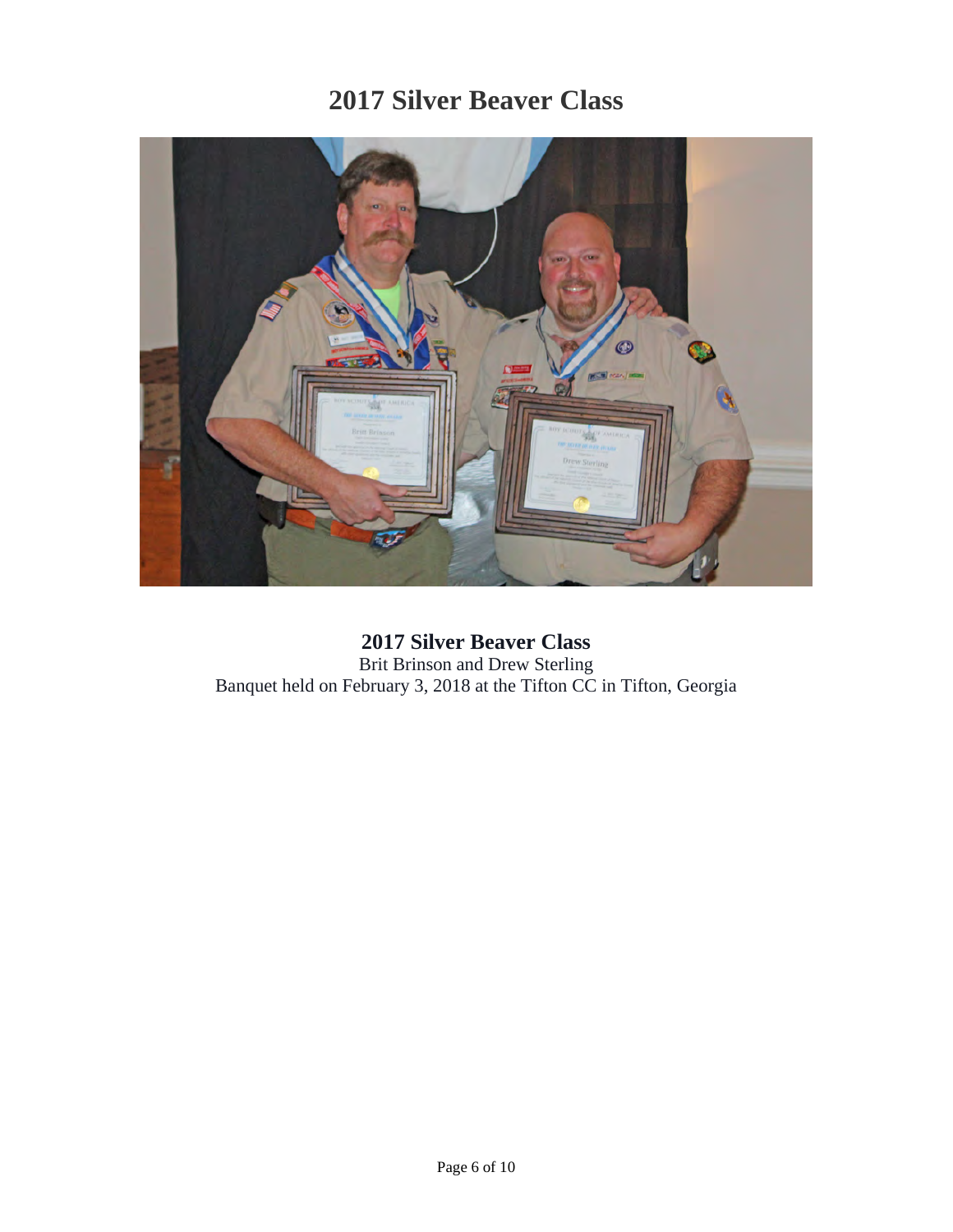

**2017 Silver Beaver Class**  Brit Brinson and Drew Sterling Banquet held on February 3, 2018 at the Tifton CC in Tifton, Georgia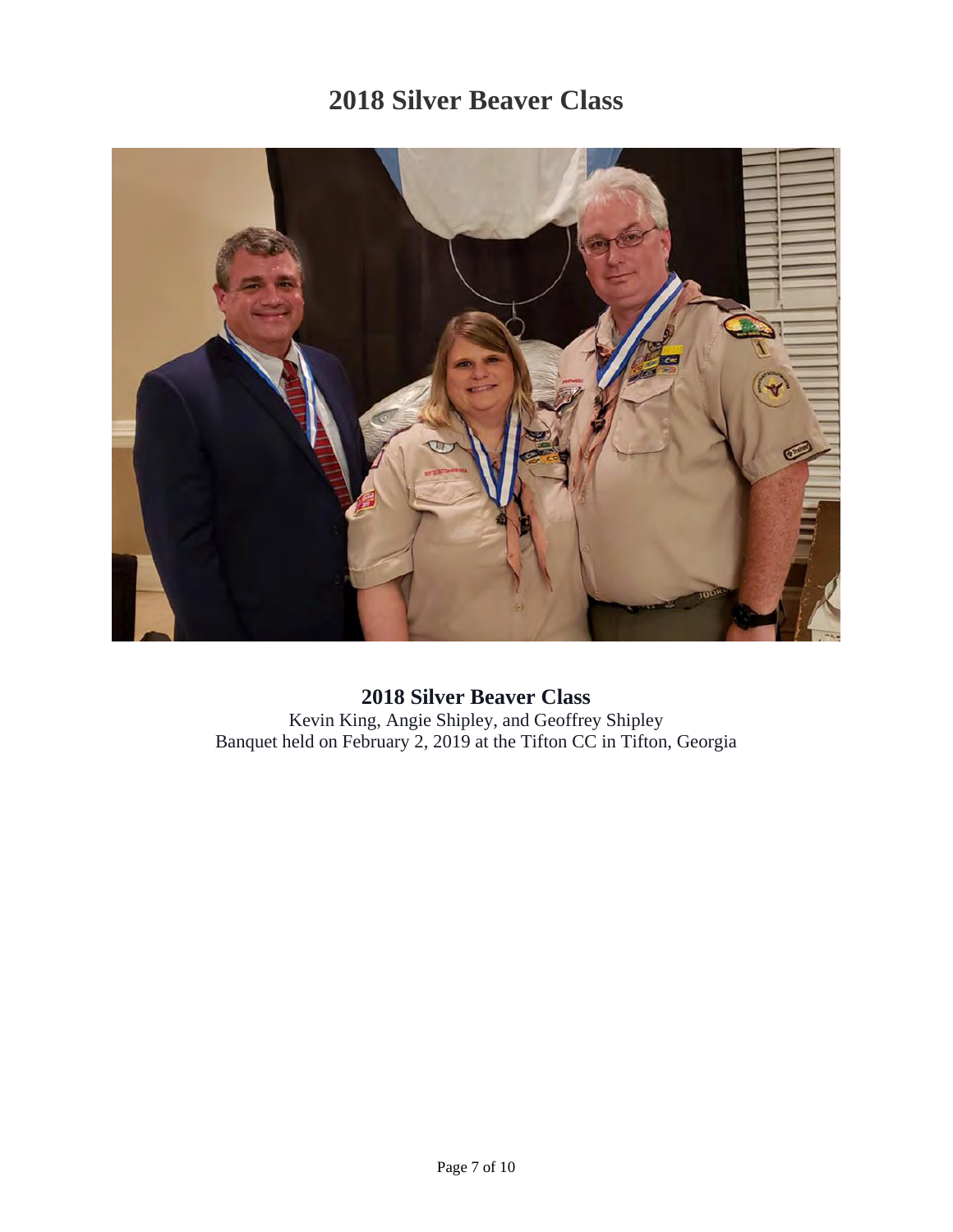

**2018 Silver Beaver Class**  Kevin King, Angie Shipley, and Geoffrey Shipley Banquet held on February 2, 2019 at the Tifton CC in Tifton, Georgia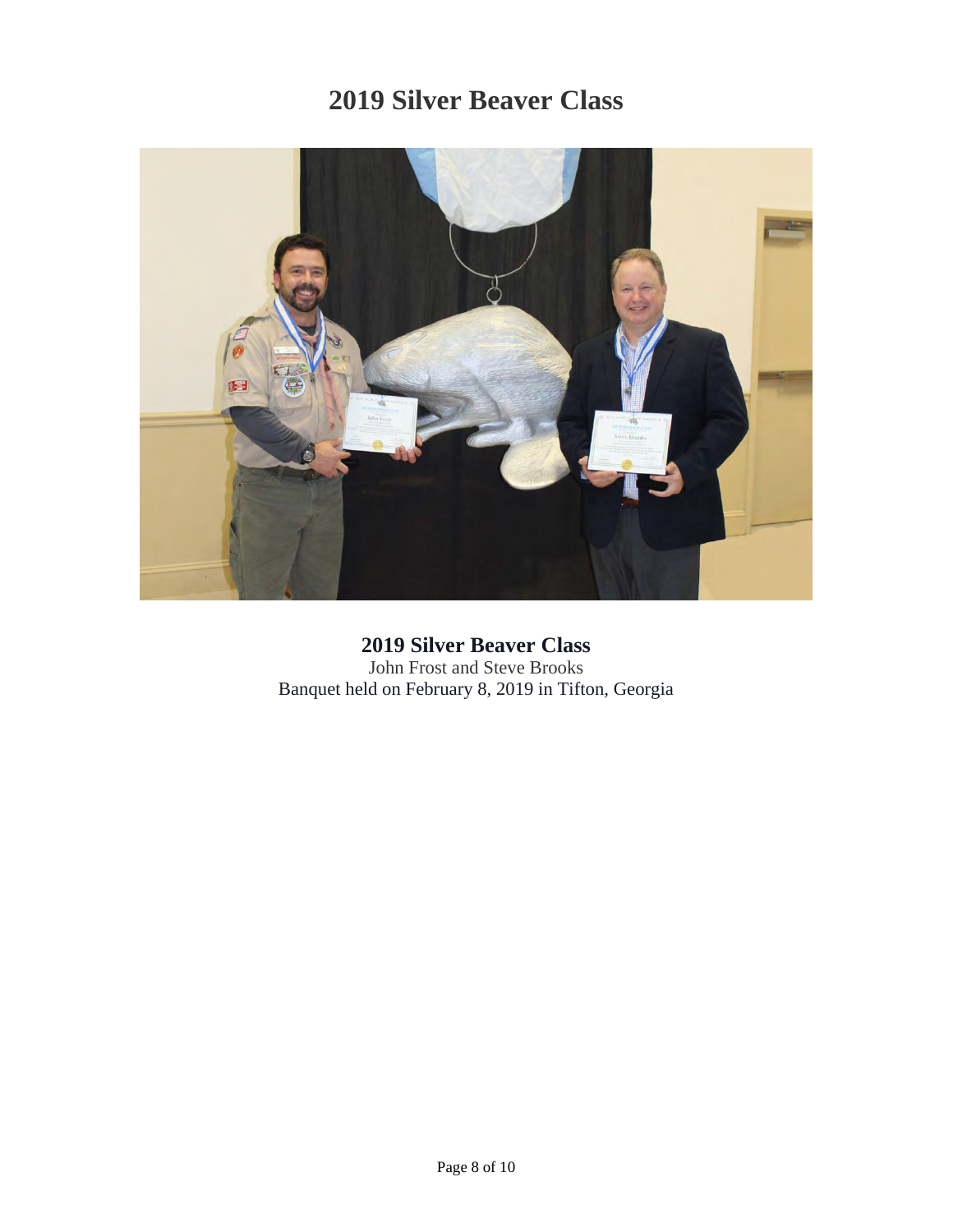

**2019 Silver Beaver Class**  John Frost and Steve Brooks Banquet held on February 8, 2019 in Tifton, Georgia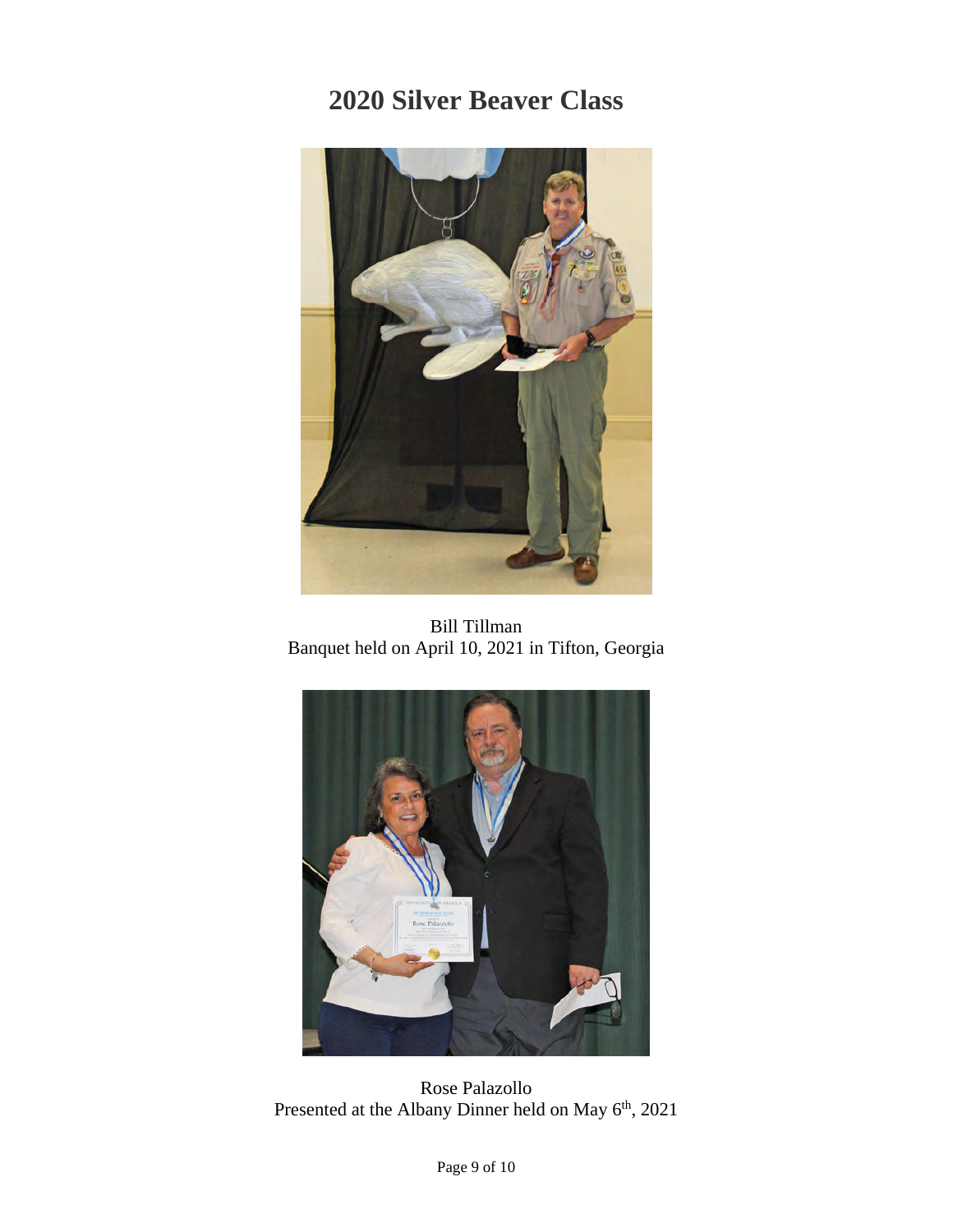

Bill Tillman Banquet held on April 10, 2021 in Tifton, Georgia



Rose Palazollo Presented at the Albany Dinner held on May 6<sup>th</sup>, 2021

Page 9 of 10